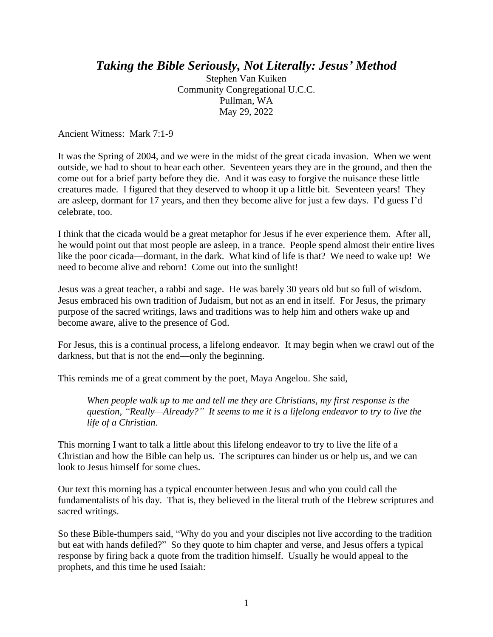## *Taking the Bible Seriously, Not Literally: Jesus' Method*

Stephen Van Kuiken Community Congregational U.C.C. Pullman, WA May 29, 2022

Ancient Witness: Mark 7:1-9

It was the Spring of 2004, and we were in the midst of the great cicada invasion. When we went outside, we had to shout to hear each other. Seventeen years they are in the ground, and then the come out for a brief party before they die. And it was easy to forgive the nuisance these little creatures made. I figured that they deserved to whoop it up a little bit. Seventeen years! They are asleep, dormant for 17 years, and then they become alive for just a few days. I'd guess I'd celebrate, too.

I think that the cicada would be a great metaphor for Jesus if he ever experience them. After all, he would point out that most people are asleep, in a trance. People spend almost their entire lives like the poor cicada—dormant, in the dark. What kind of life is that? We need to wake up! We need to become alive and reborn! Come out into the sunlight!

Jesus was a great teacher, a rabbi and sage. He was barely 30 years old but so full of wisdom. Jesus embraced his own tradition of Judaism, but not as an end in itself. For Jesus, the primary purpose of the sacred writings, laws and traditions was to help him and others wake up and become aware, alive to the presence of God.

For Jesus, this is a continual process, a lifelong endeavor. It may begin when we crawl out of the darkness, but that is not the end—only the beginning.

This reminds me of a great comment by the poet, Maya Angelou. She said,

*When people walk up to me and tell me they are Christians, my first response is the question, "Really—Already?" It seems to me it is a lifelong endeavor to try to live the life of a Christian.*

This morning I want to talk a little about this lifelong endeavor to try to live the life of a Christian and how the Bible can help us. The scriptures can hinder us or help us, and we can look to Jesus himself for some clues.

Our text this morning has a typical encounter between Jesus and who you could call the fundamentalists of his day. That is, they believed in the literal truth of the Hebrew scriptures and sacred writings.

So these Bible-thumpers said, "Why do you and your disciples not live according to the tradition but eat with hands defiled?" So they quote to him chapter and verse, and Jesus offers a typical response by firing back a quote from the tradition himself. Usually he would appeal to the prophets, and this time he used Isaiah: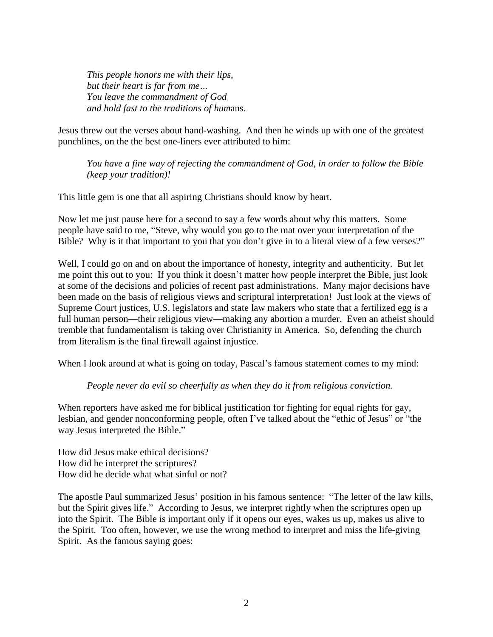*This people honors me with their lips, but their heart is far from me… You leave the commandment of God and hold fast to the traditions of hum*ans.

Jesus threw out the verses about hand-washing. And then he winds up with one of the greatest punchlines, on the the best one-liners ever attributed to him:

*You have a fine way of rejecting the commandment of God, in order to follow the Bible (keep your tradition)!*

This little gem is one that all aspiring Christians should know by heart.

Now let me just pause here for a second to say a few words about why this matters. Some people have said to me, "Steve, why would you go to the mat over your interpretation of the Bible? Why is it that important to you that you don't give in to a literal view of a few verses?"

Well, I could go on and on about the importance of honesty, integrity and authenticity. But let me point this out to you: If you think it doesn't matter how people interpret the Bible, just look at some of the decisions and policies of recent past administrations. Many major decisions have been made on the basis of religious views and scriptural interpretation! Just look at the views of Supreme Court justices, U.S. legislators and state law makers who state that a fertilized egg is a full human person—their religious view—making any abortion a murder. Even an atheist should tremble that fundamentalism is taking over Christianity in America. So, defending the church from literalism is the final firewall against injustice.

When I look around at what is going on today, Pascal's famous statement comes to my mind:

## *People never do evil so cheerfully as when they do it from religious conviction.*

When reporters have asked me for biblical justification for fighting for equal rights for gay, lesbian, and gender nonconforming people, often I've talked about the "ethic of Jesus" or "the way Jesus interpreted the Bible."

How did Jesus make ethical decisions? How did he interpret the scriptures? How did he decide what what sinful or not?

The apostle Paul summarized Jesus' position in his famous sentence: "The letter of the law kills, but the Spirit gives life." According to Jesus, we interpret rightly when the scriptures open up into the Spirit. The Bible is important only if it opens our eyes, wakes us up, makes us alive to the Spirit. Too often, however, we use the wrong method to interpret and miss the life-giving Spirit. As the famous saying goes: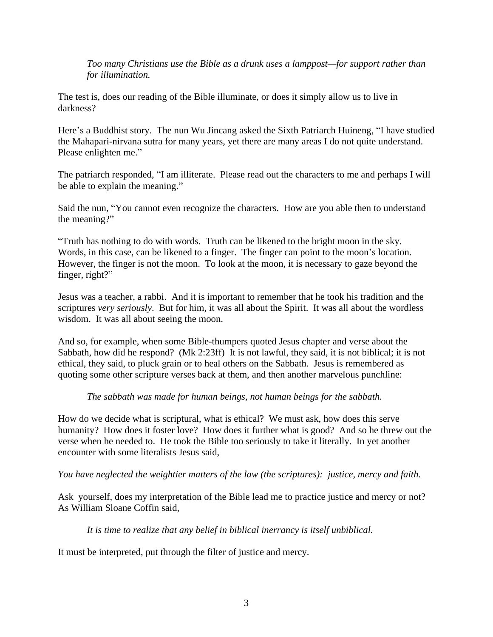*Too many Christians use the Bible as a drunk uses a lamppost—for support rather than for illumination.*

The test is, does our reading of the Bible illuminate, or does it simply allow us to live in darkness?

Here's a Buddhist story. The nun Wu Jincang asked the Sixth Patriarch Huineng, "I have studied the Mahapari-nirvana sutra for many years, yet there are many areas I do not quite understand. Please enlighten me."

The patriarch responded, "I am illiterate. Please read out the characters to me and perhaps I will be able to explain the meaning."

Said the nun, "You cannot even recognize the characters. How are you able then to understand the meaning?"

"Truth has nothing to do with words. Truth can be likened to the bright moon in the sky. Words, in this case, can be likened to a finger. The finger can point to the moon's location. However, the finger is not the moon. To look at the moon, it is necessary to gaze beyond the finger, right?"

Jesus was a teacher, a rabbi. And it is important to remember that he took his tradition and the scriptures *very seriously*. But for him, it was all about the Spirit. It was all about the wordless wisdom. It was all about seeing the moon.

And so, for example, when some Bible-thumpers quoted Jesus chapter and verse about the Sabbath, how did he respond? (Mk 2:23ff) It is not lawful, they said, it is not biblical; it is not ethical, they said, to pluck grain or to heal others on the Sabbath. Jesus is remembered as quoting some other scripture verses back at them, and then another marvelous punchline:

*The sabbath was made for human beings, not human beings for the sabbath.*

How do we decide what is scriptural, what is ethical? We must ask, how does this serve humanity? How does it foster love? How does it further what is good? And so he threw out the verse when he needed to. He took the Bible too seriously to take it literally. In yet another encounter with some literalists Jesus said,

*You have neglected the weightier matters of the law (the scriptures): justice, mercy and faith.*

Ask yourself, does my interpretation of the Bible lead me to practice justice and mercy or not? As William Sloane Coffin said,

*It is time to realize that any belief in biblical inerrancy is itself unbiblical.*

It must be interpreted, put through the filter of justice and mercy.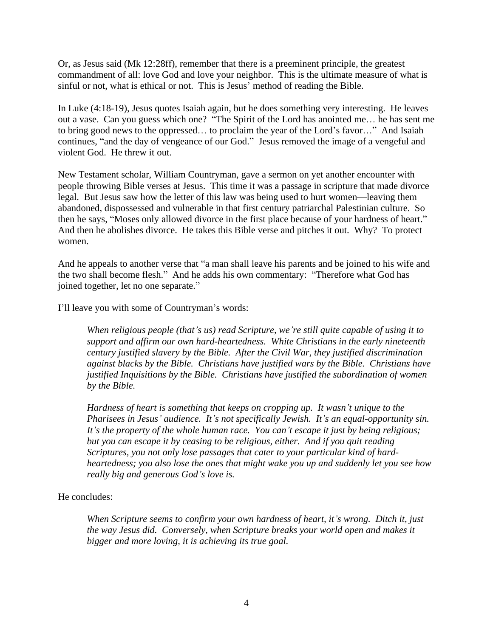Or, as Jesus said (Mk 12:28ff), remember that there is a preeminent principle, the greatest commandment of all: love God and love your neighbor. This is the ultimate measure of what is sinful or not, what is ethical or not. This is Jesus' method of reading the Bible.

In Luke (4:18-19), Jesus quotes Isaiah again, but he does something very interesting. He leaves out a vase. Can you guess which one? "The Spirit of the Lord has anointed me… he has sent me to bring good news to the oppressed… to proclaim the year of the Lord's favor…" And Isaiah continues, "and the day of vengeance of our God." Jesus removed the image of a vengeful and violent God. He threw it out.

New Testament scholar, William Countryman, gave a sermon on yet another encounter with people throwing Bible verses at Jesus. This time it was a passage in scripture that made divorce legal. But Jesus saw how the letter of this law was being used to hurt women—leaving them abandoned, dispossessed and vulnerable in that first century patriarchal Palestinian culture. So then he says, "Moses only allowed divorce in the first place because of your hardness of heart." And then he abolishes divorce. He takes this Bible verse and pitches it out. Why? To protect women.

And he appeals to another verse that "a man shall leave his parents and be joined to his wife and the two shall become flesh." And he adds his own commentary: "Therefore what God has joined together, let no one separate."

I'll leave you with some of Countryman's words:

*When religious people (that's us) read Scripture, we're still quite capable of using it to support and affirm our own hard-heartedness. White Christians in the early nineteenth century justified slavery by the Bible. After the Civil War, they justified discrimination against blacks by the Bible. Christians have justified wars by the Bible. Christians have justified Inquisitions by the Bible. Christians have justified the subordination of women by the Bible.*

*Hardness of heart is something that keeps on cropping up. It wasn't unique to the Pharisees in Jesus' audience. It's not specifically Jewish. It's an equal-opportunity sin. It's the property of the whole human race. You can't escape it just by being religious; but you can escape it by ceasing to be religious, either. And if you quit reading Scriptures, you not only lose passages that cater to your particular kind of hardheartedness; you also lose the ones that might wake you up and suddenly let you see how really big and generous God's love is.*

## He concludes:

*When Scripture seems to confirm your own hardness of heart, it's wrong. Ditch it, just the way Jesus did. Conversely, when Scripture breaks your world open and makes it bigger and more loving, it is achieving its true goal.*